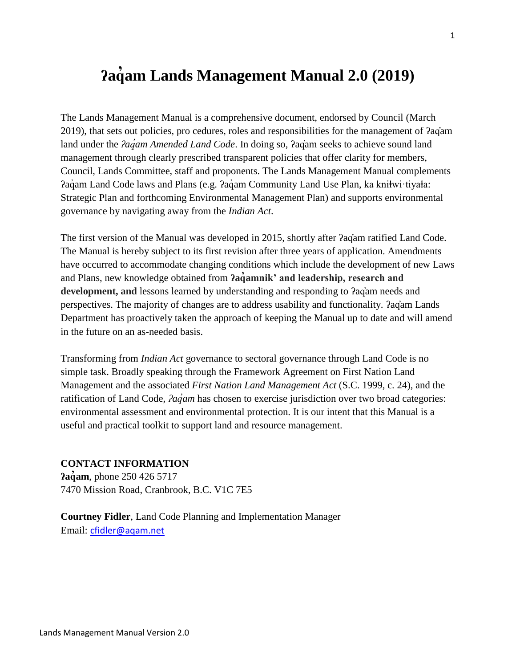# **ʔaq ̓am Lands Management Manual 2.0 (2019)**

The Lands Management Manual is a comprehensive document, endorsed by Council (March 2019), that sets out policies, pro cedures, roles and responsibilities for the management of ʔaq̓am land under the *ʔaq̓am Amended Land Code*. In doing so, ʔaq̓am seeks to achieve sound land management through clearly prescribed transparent policies that offer clarity for members, Council, Lands Committee, staff and proponents. The Lands Management Manual complements ?aqam Land Code laws and Plans (e.g. ?aq̄am Community Land Use Plan, ka kniłwi·tiyała: Strategic Plan and forthcoming Environmental Management Plan) and supports environmental governance by navigating away from the *Indian Act*.

The first version of the Manual was developed in 2015, shortly after *?agam ratified Land Code*. The Manual is hereby subject to its first revision after three years of application. Amendments have occurred to accommodate changing conditions which include the development of new Laws and Plans, new knowledge obtained from **ʔaq̓amnik' and leadership, research and development, and** lessons learned by understanding and responding to ʔaq̓am needs and perspectives. The majority of changes are to address usability and functionality. ʔaq̓am Lands Department has proactively taken the approach of keeping the Manual up to date and will amend in the future on an as-needed basis.

Transforming from *Indian Act* governance to sectoral governance through Land Code is no simple task. Broadly speaking through the Framework Agreement on First Nation Land Management and the associated *First Nation Land Management Act* (S.C. 1999, c. 24), and the ratification of Land Code, *ʔaq̓am* has chosen to exercise jurisdiction over two broad categories: environmental assessment and environmental protection. It is our intent that this Manual is a useful and practical toolkit to support land and resource management.

#### **CONTACT INFORMATION**

*<u>Paquem*, phone 250 426 5717</u> 7470 Mission Road, Cranbrook, B.C. V1C 7E5

**Courtney Fidler**, Land Code Planning and Implementation Manager Email: [cfidler@aqam.net](mailto:cfidler@aqam.net)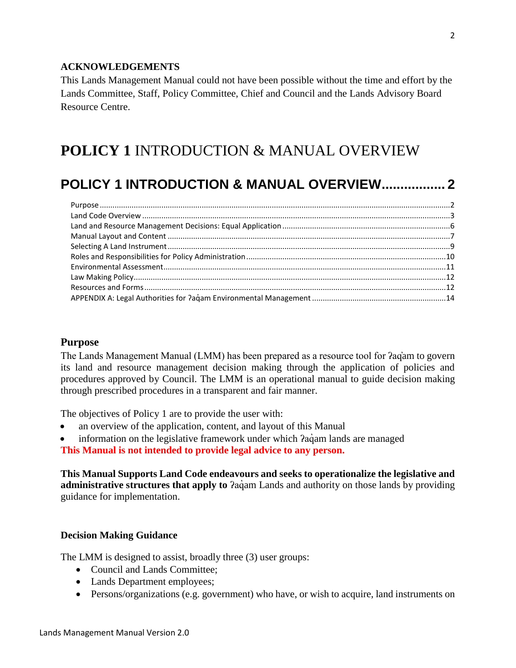#### **ACKNOWLEDGEMENTS**

This Lands Management Manual could not have been possible without the time and effort by the Lands Committee, Staff, Policy Committee, Chief and Council and the Lands Advisory Board Resource Centre.

## <span id="page-1-0"></span>**POLICY 1** INTRODUCTION & MANUAL OVERVIEW

## **[POLICY 1 INTRODUCTION & MANUAL OVERVIEW.................](#page-1-0) 2**

#### <span id="page-1-1"></span>**Purpose**

The Lands Management Manual (LMM) has been prepared as a resource tool for ʔaq̓am to govern its land and resource management decision making through the application of policies and procedures approved by Council. The LMM is an operational manual to guide decision making through prescribed procedures in a transparent and fair manner.

The objectives of Policy 1 are to provide the user with:

- an overview of the application, content, and layout of this Manual
- information on the legislative framework under which *Paciam lands are managed*

**This Manual is not intended to provide legal advice to any person.** 

**This Manual Supports Land Code endeavours and seeks to operationalize the legislative and administrative structures that apply to**  $\lambda$ a am Lands and authority on those lands by providing guidance for implementation.

#### **Decision Making Guidance**

The LMM is designed to assist, broadly three (3) user groups:

- Council and Lands Committee;
- Lands Department employees;
- Persons/organizations (e.g. government) who have, or wish to acquire, land instruments on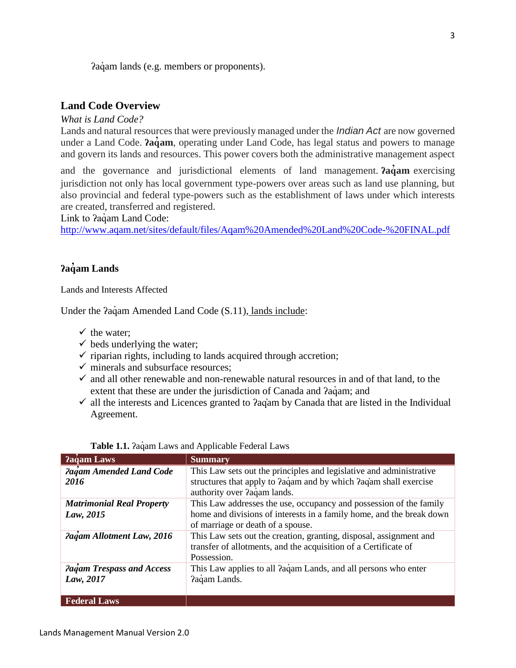Pagam lands (e.g. members or proponents).

#### <span id="page-2-0"></span>**Land Code Overview**

*What is Land Code?*

Lands and natural resources that were previously managed under the *Indian Act* are now governed under a Land Code. *?aqum*, operating under Land Code, has legal status and powers to manage and govern its lands and resources. This power covers both the administrative management aspect

and the governance and jurisdictional elements of land management. **ʔaq̓am** exercising jurisdiction not only has local government type-powers over areas such as land use planning, but also provincial and federal type-powers such as the establishment of laws under which interests are created, transferred and registered.

Link to *Paq*am Land Code:

<http://www.aqam.net/sites/default/files/Aqam%20Amended%20Land%20Code-%20FINAL.pdf>

#### **ʔaq̓am Lands**

Lands and Interests Affected

Under the  $2a\text{qam}$  Amended Land Code (S.11), lands include:

- $\checkmark$  the water;
- $\checkmark$  beds underlying the water;
- $\checkmark$  riparian rights, including to lands acquired through accretion;
- $\checkmark$  minerals and subsurface resources:
- $\checkmark$  and all other renewable and non-renewable natural resources in and of that land, to the extent that these are under the jurisdiction of Canada and  $aq$ <sub>a</sub>q<sup>'</sup> am<sub>i</sub> and
- $\checkmark$  all the interests and Licences granted to  $2aq<sub>dm</sub>$  by Canada that are listed in the Individual Agreement.

| Pagam Laws                                    | <b>Summary</b>                                                                                                                                                                  |
|-----------------------------------------------|---------------------------------------------------------------------------------------------------------------------------------------------------------------------------------|
| Pagam Amended Land Code<br>2016               | This Law sets out the principles and legislative and administrative<br>structures that apply to ?aqam and by which ?aqam shall exercise<br>authority over ?aqam lands.          |
| <b>Matrimonial Real Property</b><br>Law, 2015 | This Law addresses the use, occupancy and possession of the family<br>home and divisions of interests in a family home, and the break down<br>of marriage or death of a spouse. |
| Pagam Allotment Law, 2016                     | This Law sets out the creation, granting, disposal, assignment and<br>transfer of allotments, and the acquisition of a Certificate of<br>Possession.                            |
| Pagam Trespass and Access<br>Law, 2017        | This Law applies to all ?aqam Lands, and all persons who enter<br>Paqam Lands.                                                                                                  |
| <b>Federal Laws</b>                           |                                                                                                                                                                                 |

|  |  |  | Table 1.1. Paqam Laws and Applicable Federal Laws |  |  |
|--|--|--|---------------------------------------------------|--|--|
|--|--|--|---------------------------------------------------|--|--|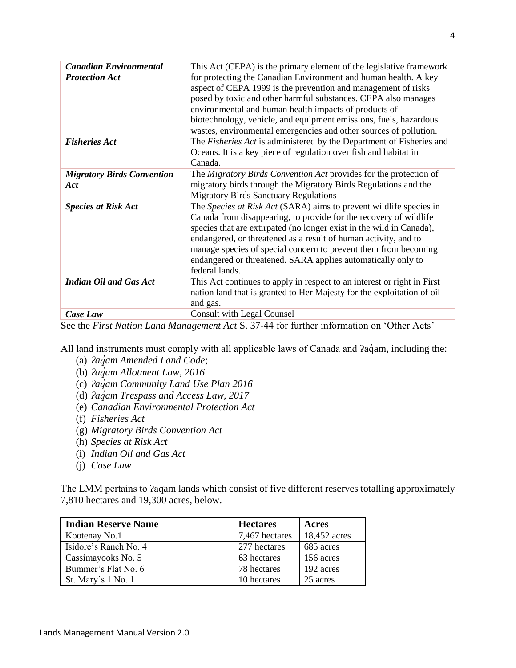| <b>Canadian Environmental</b>     | This Act (CEPA) is the primary element of the legislative framework     |
|-----------------------------------|-------------------------------------------------------------------------|
| <b>Protection Act</b>             | for protecting the Canadian Environment and human health. A key         |
|                                   | aspect of CEPA 1999 is the prevention and management of risks           |
|                                   | posed by toxic and other harmful substances. CEPA also manages          |
|                                   | environmental and human health impacts of products of                   |
|                                   | biotechnology, vehicle, and equipment emissions, fuels, hazardous       |
|                                   | wastes, environmental emergencies and other sources of pollution.       |
| <b>Fisheries Act</b>              | The Fisheries Act is administered by the Department of Fisheries and    |
|                                   | Oceans. It is a key piece of regulation over fish and habitat in        |
|                                   | Canada.                                                                 |
| <b>Migratory Birds Convention</b> | The Migratory Birds Convention Act provides for the protection of       |
| <b>Act</b>                        | migratory birds through the Migratory Birds Regulations and the         |
|                                   | <b>Migratory Birds Sanctuary Regulations</b>                            |
| <b>Species at Risk Act</b>        | The Species at Risk Act (SARA) aims to prevent wildlife species in      |
|                                   | Canada from disappearing, to provide for the recovery of wildlife       |
|                                   | species that are extirpated (no longer exist in the wild in Canada),    |
|                                   | endangered, or threatened as a result of human activity, and to         |
|                                   | manage species of special concern to prevent them from becoming         |
|                                   | endangered or threatened. SARA applies automatically only to            |
|                                   | federal lands.                                                          |
| <b>Indian Oil and Gas Act</b>     | This Act continues to apply in respect to an interest or right in First |
|                                   | nation land that is granted to Her Majesty for the exploitation of oil  |
|                                   | and gas.                                                                |
| Case Law                          | <b>Consult with Legal Counsel</b>                                       |

See the *First Nation Land Management Act* S. 37-44 for further information on 'Other Acts'

All land instruments must comply with all applicable laws of Canada and  $aq$ aqam, including the:

- (a) *ʔaq̓am Amended Land Code*;
- (b) *ʔaq̓am Allotment Law, 2016*
- (c) *ʔaq̓am Community Land Use Plan 2016*
- (d) *ʔaq̓am Trespass and Access Law, 2017*
- (e) *Canadian Environmental Protection Act*
- (f) *Fisheries Act*
- (g) *Migratory Birds Convention Act*
- (h) *Species at Risk Act*
- (i) *Indian Oil and Gas Act*
- (j) *Case Law*

The LMM pertains to  $2aq$ am lands which consist of five different reserves totalling approximately 7,810 hectares and 19,300 acres, below.

| <b>Indian Reserve Name</b> | <b>Hectares</b> | Acres        |
|----------------------------|-----------------|--------------|
| Kootenay No.1              | 7,467 hectares  | 18,452 acres |
| Isidore's Ranch No. 4      | 277 hectares    | 685 acres    |
| Cassimayooks No. 5         | 63 hectares     | 156 acres    |
| Bummer's Flat No. 6        | 78 hectares     | 192 acres    |
| St. Mary's 1 No. 1         | 10 hectares     | 25 acres     |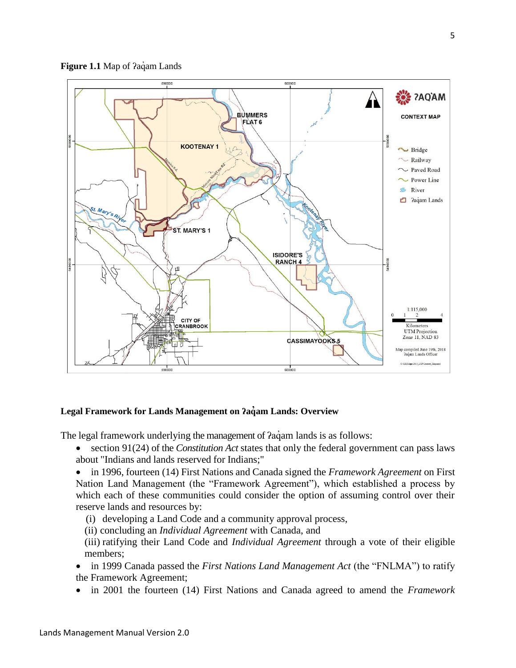



#### **Legal Framework for Lands Management on ʔaq̓am Lands: Overview**

The legal framework underlying the management of  $2a\ddot{q}$  am lands is as follows:

- section 91(24) of the *Constitution Act* states that only the federal government can pass laws about "Indians and lands reserved for Indians;"
- in 1996, fourteen (14) First Nations and Canada signed the *Framework Agreement* on First Nation Land Management (the "Framework Agreement"), which established a process by which each of these communities could consider the option of assuming control over their reserve lands and resources by:
	- (i) developing a Land Code and a community approval process,
	- (ii) concluding an *Individual Agreement* with Canada, and
- (iii) ratifying their Land Code and *Individual Agreement* through a vote of their eligible members;
- in 1999 Canada passed the *First Nations Land Management Act* (the "FNLMA") to ratify the Framework Agreement;
- in 2001 the fourteen (14) First Nations and Canada agreed to amend the *Framework*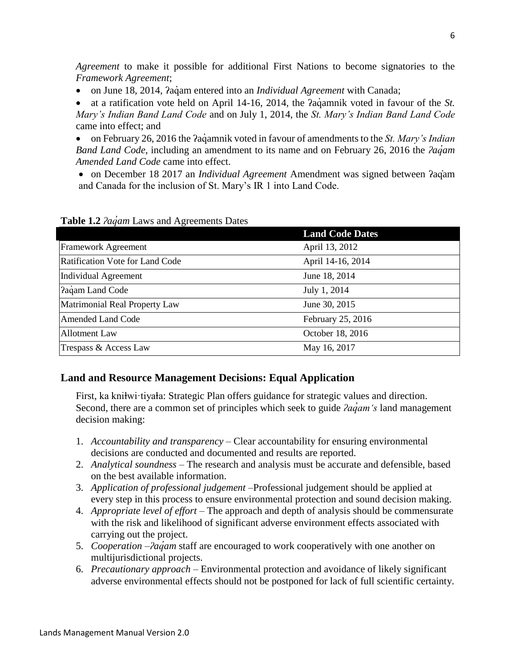*Agreement* to make it possible for additional First Nations to become signatories to the *Framework Agreement*;

on June 18, 2014, ʔaq̓ am entered into an *Individual Agreement* with Canada;

■ at a ratification vote held on April 14-16, 2014, the *Pagamnik* voted in favour of the *St*. *Mary's Indian Band Land Code* and on July 1, 2014, the *St. Mary's Indian Band Land Code* came into effect; and

• on February 26, 2016 the *Pacamnik voted in favour of amendments to the St. Mary's Indian Band Land Code*, including an amendment to its name and on February 26, 2016 the *ʔaq̓am Amended Land Code* came into effect.

 on December 18 2017 an *Individual Agreement* Amendment was signed between ʔaq̓am and Canada for the inclusion of St. Mary's IR 1 into Land Code.

**Land Code Dates** Framework Agreement April 13, 2012 Ratification Vote for Land Code April 14-16, 2014 Individual Agreement June 18, 2014 Paquam Land Code July 1, 2014 Matrimonial Real Property Law June 30, 2015 Amended Land Code February 25, 2016 Allotment Law October 18, 2016 Trespass & Access Law May 16, 2017

**Table 1.2** *ʔaq̓am* Laws and Agreements Dates

## <span id="page-5-0"></span>**Land and Resource Management Decisions: Equal Application**

First, ka kniłwi·tiyała: Strategic Plan offers guidance for strategic values and direction. Second, there are a common set of principles which seek to guide *ʔaq̓am's* land management decision making:

- 1. *Accountability and transparency* Clear accountability for ensuring environmental decisions are conducted and documented and results are reported.
- 2. *Analytical soundness* The research and analysis must be accurate and defensible, based on the best available information.
- 3. *Application of professional judgement* –Professional judgement should be applied at every step in this process to ensure environmental protection and sound decision making.
- 4. *Appropriate level of effort* The approach and depth of analysis should be commensurate with the risk and likelihood of significant adverse environment effects associated with carrying out the project.
- 5. *Cooperation* –*ʔaq̓am* staff are encouraged to work cooperatively with one another on multijurisdictional projects.
- 6. *Precautionary approach* Environmental protection and avoidance of likely significant adverse environmental effects should not be postponed for lack of full scientific certainty.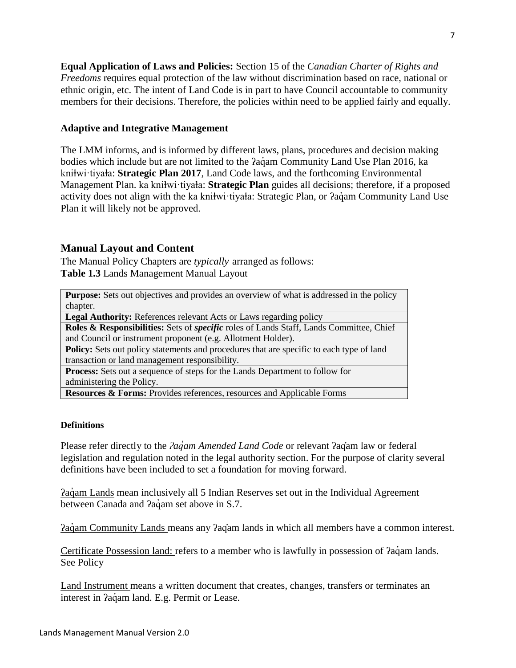**Equal Application of Laws and Policies:** Section 15 of the *Canadian Charter of Rights and Freedoms* requires equal protection of the law without discrimination based on race, national or ethnic origin, etc. The intent of Land Code is in part to have Council accountable to community members for their decisions. Therefore, the policies within need to be applied fairly and equally.

#### **Adaptive and Integrative Management**

The LMM informs, and is informed by different laws, plans, procedures and decision making bodies which include but are not limited to the *Paq*am Community Land Use Plan 2016, ka kniłwi·tiyała: **Strategic Plan 2017**, Land Code laws, and the forthcoming Environmental Management Plan. ka kniłwi·tiyała: Strategic Plan guides all decisions; therefore, if a proposed activity does not align with the ka knihwi·tiyaha: Strategic Plan, or  $2a\dot{q}$ am Community Land Use Plan it will likely not be approved.

#### <span id="page-6-0"></span>**Manual Layout and Content**

The Manual Policy Chapters are *typically* arranged as follows: **Table 1.3** Lands Management Manual Layout

| <b>Purpose:</b> Sets out objectives and provides an overview of what is addressed in the policy |
|-------------------------------------------------------------------------------------------------|
| chapter.                                                                                        |
| <b>Legal Authority:</b> References relevant Acts or Laws regarding policy                       |
| Roles & Responsibilities: Sets of <i>specific</i> roles of Lands Staff, Lands Committee, Chief  |
| and Council or instrument proponent (e.g. Allotment Holder).                                    |
| <b>Policy:</b> Sets out policy statements and procedures that are specific to each type of land |
| transaction or land management responsibility.                                                  |
| <b>Process:</b> Sets out a sequence of steps for the Lands Department to follow for             |
| administering the Policy.                                                                       |
| <b>Resources &amp; Forms:</b> Provides references, resources and Applicable Forms               |

#### **Definitions**

Please refer directly to the *ʔaq̓am Amended Land Code* or relevant ʔaq̓am law or federal legislation and regulation noted in the legal authority section. For the purpose of clarity several definitions have been included to set a foundation for moving forward.

<u>Pagam Lands</u> mean inclusively all 5 Indian Reserves set out in the Individual Agreement between Canada and *?aq*´am set above in S.7.

ʔaq̓ am Community Lands means any ʔaq̓am lands in which all members have a common interest.

Certificate Possession land: refers to a member who is lawfully in possession of  $2a\ddot{q}$  am lands. See Policy

Land Instrument means a written document that creates, changes, transfers or terminates an interest in *Pac*iam land. E.g. Permit or Lease.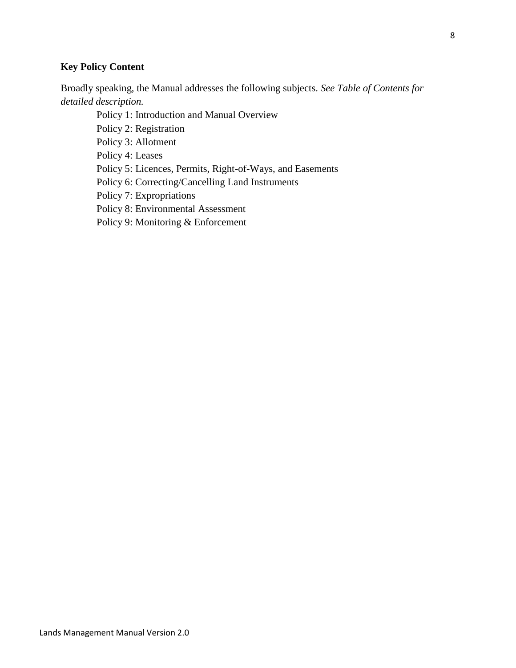## **Key Policy Content**

Broadly speaking, the Manual addresses the following subjects. *See Table of Contents for detailed description.*

Policy 1: Introduction and Manual Overview

Policy 2: Registration

Policy 3: Allotment

Policy 4: Leases

Policy 5: Licences, Permits, Right-of-Ways, and Easements

Policy 6: Correcting/Cancelling Land Instruments

Policy 7: Expropriations

Policy 8: Environmental Assessment

Policy 9: Monitoring & Enforcement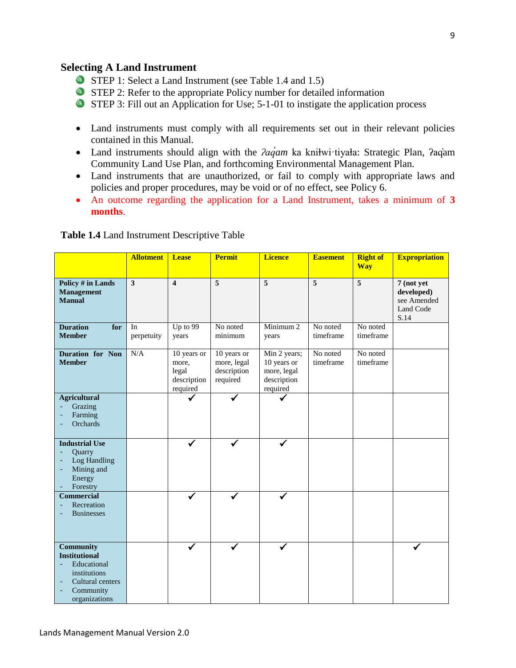#### <span id="page-8-0"></span>**Selecting A Land Instrument**

- STEP 1: Select a Land Instrument (see Table 1.4 and 1.5)
- STEP 2: Refer to the appropriate Policy number for detailed information
- STEP 3: Fill out an Application for Use; 5-1-01 to instigate the application process
- Land instruments must comply with all requirements set out in their relevant policies contained in this Manual.
- Land instruments should align with the *<i>?aqam* ka kniłwi·tiyała: Strategic Plan, *?aq*am Community Land Use Plan, and forthcoming Environmental Management Plan.
- Land instruments that are unauthorized, or fail to comply with appropriate laws and policies and proper procedures, may be void or of no effect, see Policy 6.
- An outcome regarding the application for a Land Instrument, takes a minimum of **3 months**.

| Table 1.4 Land Instrument Descriptive Table |  |  |  |
|---------------------------------------------|--|--|--|
|---------------------------------------------|--|--|--|

|                                                                                                                                                            | <b>Allotment</b>        | <b>Lease</b>                                             | <b>Permit</b>                                         | <b>Licence</b>                                                        | <b>Easement</b>       | <b>Right of</b><br><b>Way</b> | <b>Expropriation</b>                                         |
|------------------------------------------------------------------------------------------------------------------------------------------------------------|-------------------------|----------------------------------------------------------|-------------------------------------------------------|-----------------------------------------------------------------------|-----------------------|-------------------------------|--------------------------------------------------------------|
| <b>Policy # in Lands</b><br><b>Management</b><br><b>Manual</b>                                                                                             | $\overline{\mathbf{3}}$ | $\overline{\mathbf{4}}$                                  | $\overline{5}$                                        | $\overline{5}$                                                        | $\overline{5}$        | $\overline{5}$                | 7 (not yet<br>developed)<br>see Amended<br>Land Code<br>S.14 |
| <b>Duration</b><br>for<br><b>Member</b>                                                                                                                    | In<br>perpetuity        | Up to 99<br>years                                        | No noted<br>minimum                                   | Minimum <sub>2</sub><br>years                                         | No noted<br>timeframe | No noted<br>timeframe         |                                                              |
| Duration for Non<br><b>Member</b>                                                                                                                          | N/A                     | 10 years or<br>more,<br>legal<br>description<br>required | 10 years or<br>more, legal<br>description<br>required | Min 2 years;<br>10 years or<br>more, legal<br>description<br>required | No noted<br>timeframe | No noted<br>timeframe         |                                                              |
| <b>Agricultural</b><br>Grazing<br>Farming<br>Orchards<br>٠                                                                                                 |                         |                                                          |                                                       |                                                                       |                       |                               |                                                              |
| <b>Industrial Use</b><br>Quarry<br>٠<br>Log Handling<br>٠<br>Mining and<br>$\overline{\phantom{a}}$<br>Energy<br>Forestry                                  |                         |                                                          |                                                       |                                                                       |                       |                               |                                                              |
| <b>Commercial</b><br>Recreation<br><b>Businesses</b>                                                                                                       |                         |                                                          |                                                       |                                                                       |                       |                               |                                                              |
| <b>Community</b><br><b>Institutional</b><br>Educational<br>institutions<br>Cultural centers<br>$\overline{\phantom{a}}$<br>Community<br>٠<br>organizations |                         |                                                          |                                                       |                                                                       |                       |                               |                                                              |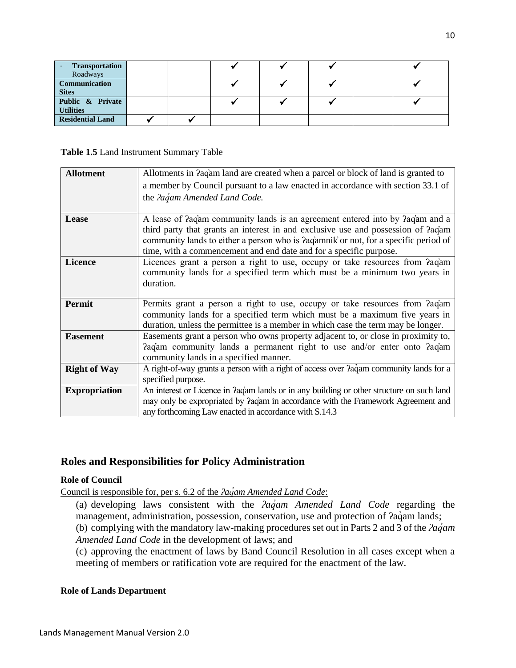| Transportation<br>Roadways           |  |  |  |  |
|--------------------------------------|--|--|--|--|
| Communication<br><b>Sites</b>        |  |  |  |  |
| Public & Private<br><b>Utilities</b> |  |  |  |  |
| <b>Residential Land</b>              |  |  |  |  |

#### **Table 1.5** Land Instrument Summary Table

| <b>Allotment</b>     | Allotments in Paqam land are created when a parcel or block of land is granted to           |
|----------------------|---------------------------------------------------------------------------------------------|
|                      | a member by Council pursuant to a law enacted in accordance with section 33.1 of            |
|                      | the Pagam Amended Land Code.                                                                |
|                      |                                                                                             |
| Lease                | A lease of ?aq'am community lands is an agreement entered into by ?aq'am and a              |
|                      | third party that grants an interest in and exclusive use and possession of ?aqam            |
|                      | community lands to either a person who is ?aq'amnik' or not, for a specific period of       |
|                      | time, with a commencement and end date and for a specific purpose.                          |
| <b>Licence</b>       | Licences grant a person a right to use, occupy or take resources from Pagam                 |
|                      | community lands for a specified term which must be a minimum two years in                   |
|                      | duration.                                                                                   |
|                      |                                                                                             |
| <b>Permit</b>        | Permits grant a person a right to use, occupy or take resources from Paqam                  |
|                      | community lands for a specified term which must be a maximum five years in                  |
|                      | duration, unless the permittee is a member in which case the term may be longer.            |
| <b>Easement</b>      | Easements grant a person who owns property adjacent to, or close in proximity to,           |
|                      | Paqam community lands a permanent right to use and/or enter onto Paqam                      |
|                      | community lands in a specified manner.                                                      |
| <b>Right of Way</b>  | A right-of-way grants a person with a right of access over $2a\alpha$ community lands for a |
|                      | specified purpose.                                                                          |
| <b>Expropriation</b> | An interest or Licence in Pagam lands or in any building or other structure on such land    |
|                      | may only be expropriated by <i>Paciam</i> in accordance with the Framework Agreement and    |
|                      | any forthcoming Law enacted in accordance with S.14.3                                       |

#### <span id="page-9-0"></span>**Roles and Responsibilities for Policy Administration**

#### **Role of Council**

Council is responsible for, per s. 6.2 of the *ʔaq̓am Amended Land Code*:

(a) developing laws consistent with the *ʔaq̓am Amended Land Code* regarding the management, administration, possession, conservation, use and protection of  $aq$ <sup>aquin</sup> lands;

(b) complying with the mandatory law-making procedures set out in Parts 2 and 3 of the *ʔaq̓am Amended Land Code* in the development of laws; and

(c) approving the enactment of laws by Band Council Resolution in all cases except when a meeting of members or ratification vote are required for the enactment of the law.

#### **Role of Lands Department**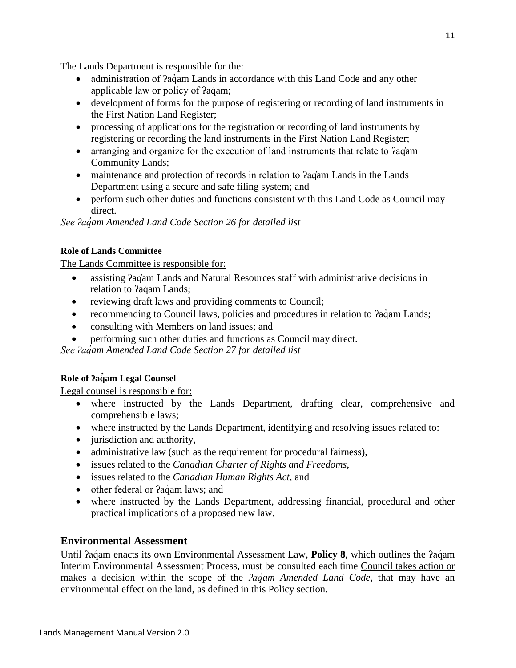The Lands Department is responsible for the:

- administration of *Pac*iam Lands in accordance with this Land Code and any other applicable law or policy of *?aqam*;
- development of forms for the purpose of registering or recording of land instruments in the First Nation Land Register;
- processing of applications for the registration or recording of land instruments by registering or recording the land instruments in the First Nation Land Register;
- arranging and organize for the execution of land instruments that relate to *Pagam* Community Lands;
- maintenance and protection of records in relation to  $aq$ <sup>a</sup>m Lands in the Lands Department using a secure and safe filing system; and
- perform such other duties and functions consistent with this Land Code as Council may direct.

*See ʔaq̓am Amended Land Code Section 26 for detailed list* 

#### **Role of Lands Committee**

The Lands Committee is responsible for:

- assisting ʔaq̓am Lands and Natural Resources staff with administrative decisions in relation to ?aqam Lands;
- reviewing draft laws and providing comments to Council;
- recommending to Council laws, policies and procedures in relation to  $2a\ddot{q}$  Lands;
- consulting with Members on land issues; and
- performing such other duties and functions as Council may direct.

*See ʔaq̓am Amended Land Code Section 27 for detailed list* 

#### **Role of ʔaq̓am Legal Counsel**

Legal counsel is responsible for:

- where instructed by the Lands Department, drafting clear, comprehensive and comprehensible laws;
- where instructed by the Lands Department, identifying and resolving issues related to:
- jurisdiction and authority,
- administrative law (such as the requirement for procedural fairness),
- issues related to the *Canadian Charter of Rights and Freedoms*,
- issues related to the *Canadian Human Rights Act*, and
- other federal or *?a*gam laws; and
- where instructed by the Lands Department, addressing financial, procedural and other practical implications of a proposed new law.

## <span id="page-10-0"></span>**Environmental Assessment**

Until *Pagam enacts its own Environmental Assessment Law, Policy 8, which outlines the Pagam* Interim Environmental Assessment Process, must be consulted each time Council takes action or makes a decision within the scope of the *ʔaq̓am Amended Land Code*, that may have an environmental effect on the land, as defined in this Policy section.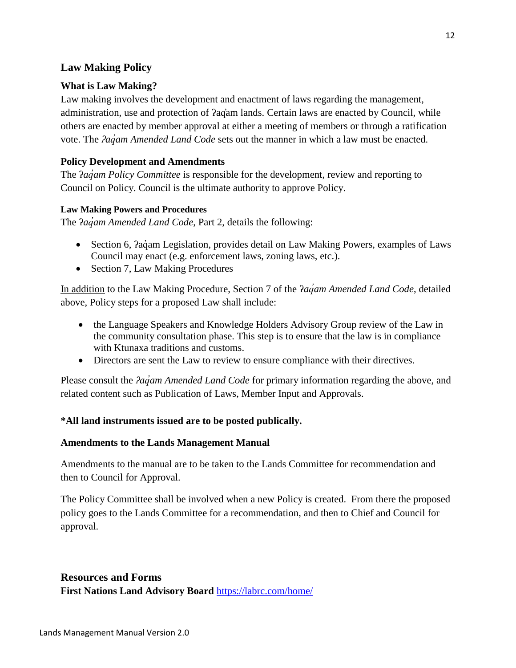### <span id="page-11-0"></span>**Law Making Policy**

#### **What is Law Making?**

Law making involves the development and enactment of laws regarding the management, administration, use and protection of ʔaq̓am lands. Certain laws are enacted by Council, while others are enacted by member approval at either a meeting of members or through a ratification vote. The *ʔaq̓am Amended Land Code* sets out the manner in which a law must be enacted.

#### **Policy Development and Amendments**

The *<u>agam</u> Policy Committee* is responsible for the development, review and reporting to Council on Policy. Council is the ultimate authority to approve Policy.

#### **Law Making Powers and Procedures**

The *<i>agam Amended Land Code*, Part 2, details the following:

- Section 6,  $2a\ddot{a}$  Legislation, provides detail on Law Making Powers, examples of Laws Council may enact (e.g. enforcement laws, zoning laws, etc.).
- Section 7, Law Making Procedures

In addition to the Law Making Procedure, Section 7 of the ʔ*aq̓am Amended Land Code*, detailed above, Policy steps for a proposed Law shall include:

- the Language Speakers and Knowledge Holders Advisory Group review of the Law in the community consultation phase. This step is to ensure that the law is in compliance with Ktunaxa traditions and customs.
- Directors are sent the Law to review to ensure compliance with their directives.

Please consult the *ʔaq̓am Amended Land Code* for primary information regarding the above, and related content such as Publication of Laws, Member Input and Approvals.

#### **\*All land instruments issued are to be posted publically.**

#### **Amendments to the Lands Management Manual**

Amendments to the manual are to be taken to the Lands Committee for recommendation and then to Council for Approval.

The Policy Committee shall be involved when a new Policy is created. From there the proposed policy goes to the Lands Committee for a recommendation, and then to Chief and Council for approval.

<span id="page-11-1"></span>**Resources and Forms First Nations Land Advisory Board** <https://labrc.com/home/>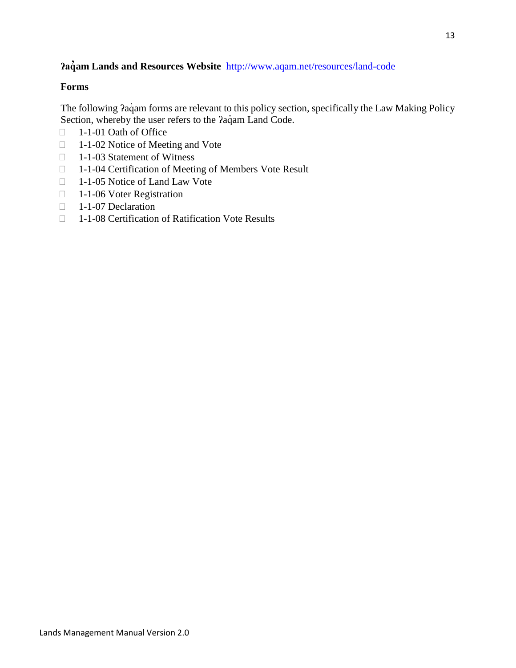## **ʔaq̓am Lands and Resources Website** [http://www.aqam.net/resources/land-code](ttp://www.aqam.net/resources/land-code)

#### **Forms**

The following  $2a\dot{q}$ am forms are relevant to this policy section, specifically the Law Making Policy Section, whereby the user refers to the *?aqam Land Code*.

- □ 1-1-01 Oath of Office
- □ 1-1-02 Notice of Meeting and Vote
- □ 1-1-03 Statement of Witness
- □ 1-1-04 Certification of Meeting of Members Vote Result
- □ 1-1-05 Notice of Land Law Vote
- □ 1-1-06 Voter Registration
- 1-1-07 Declaration
- □ 1-1-08 Certification of Ratification Vote Results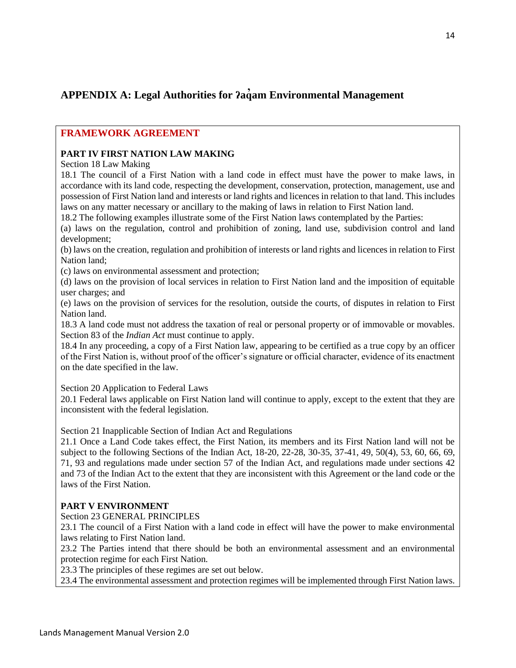## <span id="page-13-0"></span>**APPENDIX A: Legal Authorities for ʔaq̓am Environmental Management**

#### **FRAMEWORK AGREEMENT**

#### **PART IV FIRST NATION LAW MAKING**

Section 18 Law Making

18.1 The council of a First Nation with a land code in effect must have the power to make laws, in accordance with its land code, respecting the development, conservation, protection, management, use and possession of First Nation land and interests or land rights and licences in relation to that land. This includes laws on any matter necessary or ancillary to the making of laws in relation to First Nation land.

18.2 The following examples illustrate some of the First Nation laws contemplated by the Parties:

(a) laws on the regulation, control and prohibition of zoning, land use, subdivision control and land development;

(b) laws on the creation, regulation and prohibition of interests or land rights and licences in relation to First Nation land;

(c) laws on environmental assessment and protection;

(d) laws on the provision of local services in relation to First Nation land and the imposition of equitable user charges; and

(e) laws on the provision of services for the resolution, outside the courts, of disputes in relation to First Nation land.

18.3 A land code must not address the taxation of real or personal property or of immovable or movables. Section 83 of the *Indian Act* must continue to apply.

18.4 In any proceeding, a copy of a First Nation law, appearing to be certified as a true copy by an officer of the First Nation is, without proof of the officer's signature or official character, evidence of its enactment on the date specified in the law.

Section 20 Application to Federal Laws

20.1 Federal laws applicable on First Nation land will continue to apply, except to the extent that they are inconsistent with the federal legislation.

Section 21 Inapplicable Section of Indian Act and Regulations

21.1 Once a Land Code takes effect, the First Nation, its members and its First Nation land will not be subject to the following Sections of the Indian Act, 18-20, 22-28, 30-35, 37-41, 49, 50(4), 53, 60, 66, 69, 71, 93 and regulations made under section 57 of the Indian Act, and regulations made under sections 42 and 73 of the Indian Act to the extent that they are inconsistent with this Agreement or the land code or the laws of the First Nation.

#### **PART V ENVIRONMENT**

Section 23 GENERAL PRINCIPLES

23.1 The council of a First Nation with a land code in effect will have the power to make environmental laws relating to First Nation land.

23.2 The Parties intend that there should be both an environmental assessment and an environmental protection regime for each First Nation.

23.3 The principles of these regimes are set out below.

23.4 The environmental assessment and protection regimes will be implemented through First Nation laws.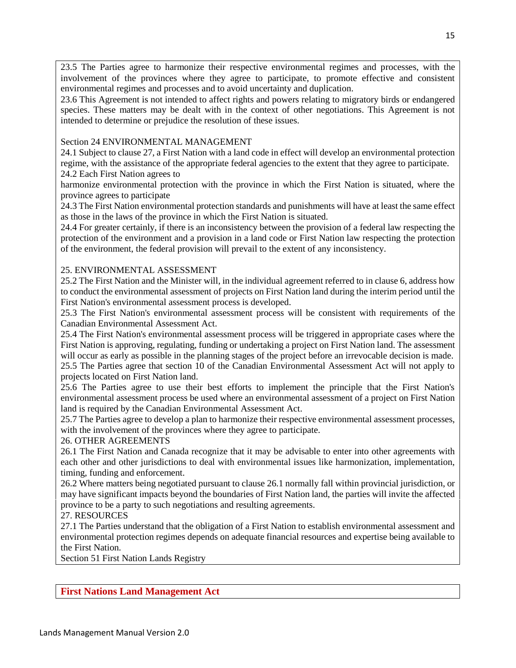23.5 The Parties agree to harmonize their respective environmental regimes and processes, with the involvement of the provinces where they agree to participate, to promote effective and consistent environmental regimes and processes and to avoid uncertainty and duplication.

23.6 This Agreement is not intended to affect rights and powers relating to migratory birds or endangered species. These matters may be dealt with in the context of other negotiations. This Agreement is not intended to determine or prejudice the resolution of these issues.

#### Section 24 ENVIRONMENTAL MANAGEMENT

24.1 Subject to clause 27, a First Nation with a land code in effect will develop an environmental protection regime, with the assistance of the appropriate federal agencies to the extent that they agree to participate. 24.2 Each First Nation agrees to

harmonize environmental protection with the province in which the First Nation is situated, where the province agrees to participate

24.3 The First Nation environmental protection standards and punishments will have at least the same effect as those in the laws of the province in which the First Nation is situated.

24.4 For greater certainly, if there is an inconsistency between the provision of a federal law respecting the protection of the environment and a provision in a land code or First Nation law respecting the protection of the environment, the federal provision will prevail to the extent of any inconsistency.

#### 25. ENVIRONMENTAL ASSESSMENT

25.2 The First Nation and the Minister will, in the individual agreement referred to in clause 6, address how to conduct the environmental assessment of projects on First Nation land during the interim period until the First Nation's environmental assessment process is developed.

25.3 The First Nation's environmental assessment process will be consistent with requirements of the Canadian Environmental Assessment Act.

25.4 The First Nation's environmental assessment process will be triggered in appropriate cases where the First Nation is approving, regulating, funding or undertaking a project on First Nation land. The assessment will occur as early as possible in the planning stages of the project before an irrevocable decision is made. 25.5 The Parties agree that section 10 of the Canadian Environmental Assessment Act will not apply to projects located on First Nation land.

25.6 The Parties agree to use their best efforts to implement the principle that the First Nation's environmental assessment process be used where an environmental assessment of a project on First Nation land is required by the Canadian Environmental Assessment Act.

25.7 The Parties agree to develop a plan to harmonize their respective environmental assessment processes, with the involvement of the provinces where they agree to participate.

#### 26. OTHER AGREEMENTS

26.1 The First Nation and Canada recognize that it may be advisable to enter into other agreements with each other and other jurisdictions to deal with environmental issues like harmonization, implementation, timing, funding and enforcement.

26.2 Where matters being negotiated pursuant to clause 26.1 normally fall within provincial jurisdiction, or may have significant impacts beyond the boundaries of First Nation land, the parties will invite the affected province to be a party to such negotiations and resulting agreements.

#### 27. RESOURCES

27.1 The Parties understand that the obligation of a First Nation to establish environmental assessment and environmental protection regimes depends on adequate financial resources and expertise being available to the First Nation.

Section 51 First Nation Lands Registry

#### **First Nations Land Management Act**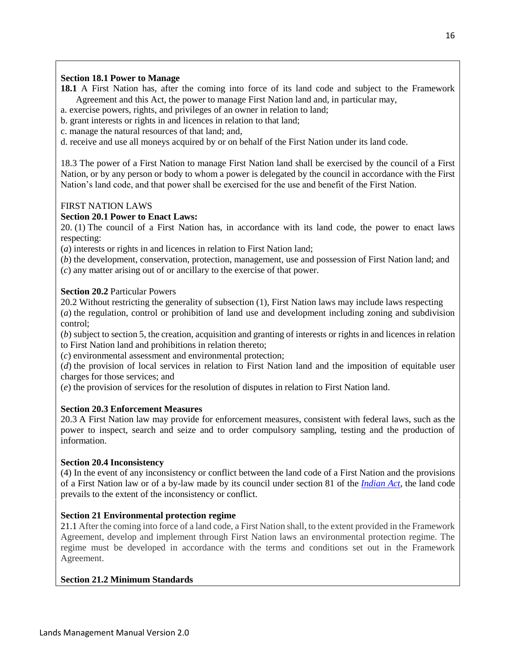#### **Section 18.1 Power to Manage**

- **18.1** A First Nation has, after the coming into force of its land code and subject to the Framework Agreement and this Act, the power to manage First Nation land and, in particular may,
- a. exercise powers, rights, and privileges of an owner in relation to land;
- b. grant interests or rights in and licences in relation to that land;
- c. manage the natural resources of that land; and,
- d. receive and use all moneys acquired by or on behalf of the First Nation under its land code.

18.3 The power of a First Nation to manage First Nation land shall be exercised by the council of a First Nation, or by any person or body to whom a power is delegated by the council in accordance with the First Nation's land code, and that power shall be exercised for the use and benefit of the First Nation.

#### FIRST NATION LAWS

#### **Section 20.1 Power to Enact Laws:**

20. (1) The council of a First Nation has, in accordance with its land code, the power to enact laws respecting:

(*a*) interests or rights in and licences in relation to First Nation land;

(*b*) the development, conservation, protection, management, use and possession of First Nation land; and (*c*) any matter arising out of or ancillary to the exercise of that power.

#### **Section 20.2** Particular Powers

20.2 Without restricting the generality of subsection (1), First Nation laws may include laws respecting (*a*) the regulation, control or prohibition of land use and development including zoning and subdivision control;

(*b*) subject to section 5, the creation, acquisition and granting of interests or rights in and licences in relation to First Nation land and prohibitions in relation thereto;

(*c*) environmental assessment and environmental protection;

(*d*) the provision of local services in relation to First Nation land and the imposition of equitable user charges for those services; and

(*e*) the provision of services for the resolution of disputes in relation to First Nation land.

#### **Section 20.3 Enforcement Measures**

20.3 A First Nation law may provide for enforcement measures, consistent with federal laws, such as the power to inspect, search and seize and to order compulsory sampling, testing and the production of information.

#### **Section 20.4 Inconsistency**

(4) In the event of any inconsistency or conflict between the land code of a First Nation and the provisions of a First Nation law or of a by-law made by its council under section 81 of the *[Indian Act](http://laws-lois.justice.gc.ca/eng/acts/I-5)*, the land code prevails to the extent of the inconsistency or conflict.

#### **Section 21 Environmental protection regime**

21.1 After the coming into force of a land code, a First Nation shall, to the extent provided in the Framework Agreement, develop and implement through First Nation laws an environmental protection regime. The regime must be developed in accordance with the terms and conditions set out in the Framework Agreement.

#### **Section 21.2 Minimum Standards**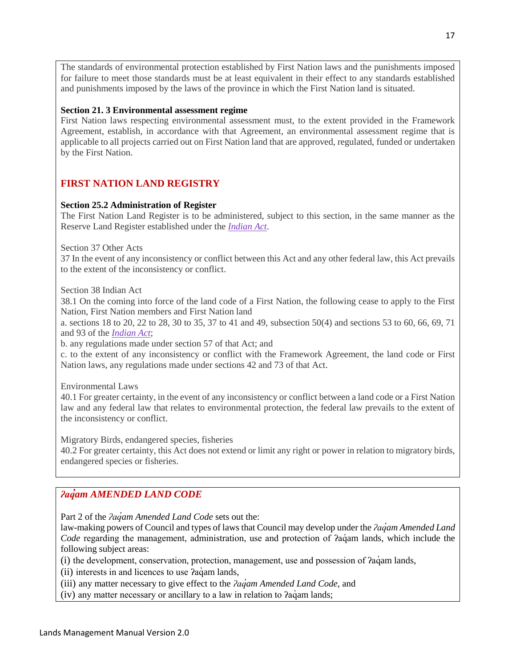The standards of environmental protection established by First Nation laws and the punishments imposed for failure to meet those standards must be at least equivalent in their effect to any standards established and punishments imposed by the laws of the province in which the First Nation land is situated.

#### **Section 21. 3 Environmental assessment regime**

First Nation laws respecting environmental assessment must, to the extent provided in the Framework Agreement, establish, in accordance with that Agreement, an environmental assessment regime that is applicable to all projects carried out on First Nation land that are approved, regulated, funded or undertaken by the First Nation.

#### **FIRST NATION LAND REGISTRY**

#### **Section 25.2 Administration of Register**

The First Nation Land Register is to be administered, subject to this section, in the same manner as the Reserve Land Register established under the *[Indian Act](http://laws-lois.justice.gc.ca/eng/acts/I-5)*.

Section 37 Other Acts

37 In the event of any inconsistency or conflict between this Act and any other federal law, this Act prevails to the extent of the inconsistency or conflict.

Section 38 Indian Act

38.1 On the coming into force of the land code of a First Nation, the following cease to apply to the First Nation, First Nation members and First Nation land

a. sections 18 to 20, 22 to 28, 30 to 35, 37 to 41 and 49, subsection 50(4) and sections 53 to 60, 66, 69, 71 and 93 of the *[Indian Act](http://laws-lois.justice.gc.ca/eng/acts/I-5)*;

b. any regulations made under section 57 of that Act; and

c. to the extent of any inconsistency or conflict with the Framework Agreement, the land code or First Nation laws, any regulations made under sections 42 and 73 of that Act.

Environmental Laws

40.1 For greater certainty, in the event of any inconsistency or conflict between a land code or a First Nation law and any federal law that relates to environmental protection, the federal law prevails to the extent of the inconsistency or conflict.

Migratory Birds, endangered species, fisheries

40.2 For greater certainty, this Act does not extend or limit any right or power in relation to migratory birds, endangered species or fisheries.

#### *ʔaq̓am AMENDED LAND CODE*

Part 2 of the *ʔaq̓am Amended Land Code* sets out the:

law-making powers of Council and types of laws that Council may develop under the *ʔaq̓am Amended Land Code* regarding the management, administration, use and protection of *?aq*´am lands, which include the following subject areas:

(i) the development, conservation, protection, management, use and possession of ʔaq̓am lands,

(ii) interests in and licences to use  $2a\ddot{q}$ am lands,

(iii) any matter necessary to give effect to the *ʔaq̓am Amended Land Code,* and

 $(iv)$  any matter necessary or ancillary to a law in relation to  $2a\dot{q}$  am lands;